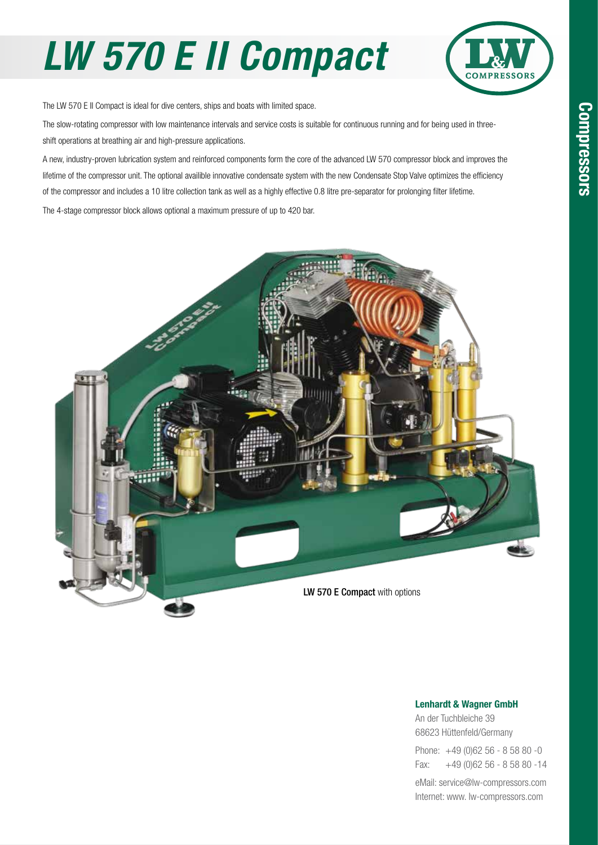## *LW 570 E II Compact*



The LW 570 E II Compact is ideal for dive centers, ships and boats with limited space.

The slow-rotating compressor with low maintenance intervals and service costs is suitable for continuous running and for being used in threeshift operations at breathing air and high-pressure applications.

A new, industry-proven lubrication system and reinforced components form the core of the advanced LW 570 compressor block and improves the lifetime of the compressor unit. The optional availible innovative condensate system with the new Condensate Stop Valve optimizes the efficiency of the compressor and includes a 10 litre collection tank as well as a highly effective 0.8 litre pre-separator for prolonging filter lifetime.

The 4-stage compressor block allows optional a maximum pressure of up to 420 bar.



#### Lenhardt & Wagner GmbH

An der Tuchbleiche 39 68623 Hüttenfeld / Germany Hüttenfeld/Germany

Phone: +49 (0)62 56 - 8 58 80 -0 Fax: +49 (0)62 56 - 8 58 80 -14 +49 (0)62 56 - 8 58 80 -14

eMail: service@lw-compressors.com Internet: www. lw-compressors.com